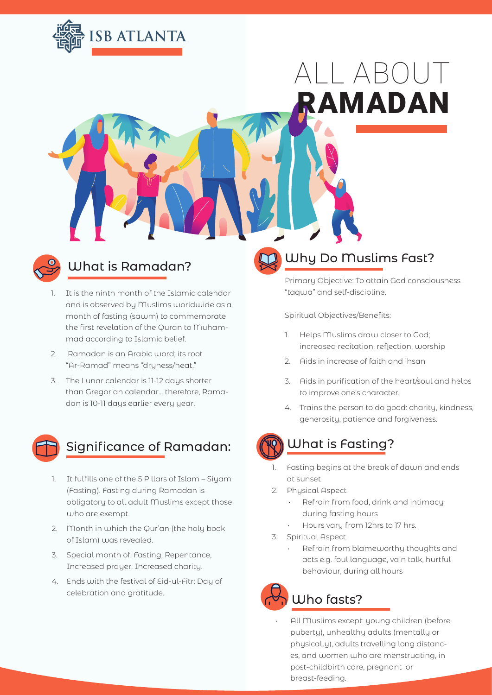

# ALL ABOUT RAMADAN



- 1. It is the ninth month of the Islamic calendar and is observed by Muslims worldwide as a month of fasting (sawm) to commemorate the first revelation of the Quran to Muhammad according to Islamic belief.
- 2. Ramadan is an Arabic word; its root "Ar-Ramad" means "dryness/heat."
- 3. The Lunar calendar is 11-12 days shorter than Gregorian calendar… therefore, Ramadan is 10-11 days earlier every year.



## Significance of Ramadan:

- 1. It fulfills one of the 5 Pillars of Islam Siyam (Fasting). Fasting during Ramadan is obligatory to all adult Muslims except those who are exempt.
- 2. Month in which the Qur'an (the holy book of Islam) was revealed.
- 3. Special month of: Fasting, Repentance, Increased prayer, Increased charity.
- 4. Ends with the festival of Eid-ul-Fitr: Day of celebration and gratitude.

# What is Ramadan? Why Do Muslims Fast?

Primary Objective: To attain God consciousness "taqwa" and self-discipline.

Spiritual Objectives/Benefits:

- 1. Helps Muslims draw closer to God; increased recitation, reflection, worship
- 2. Aids in increase of faith and ihsan
- 3. Aids in purification of the heart/soul and helps to improve one's character.
- 4. Trains the person to do good: charity, kindness, generosity, patience and forgiveness.



### What is Fasting?

- 1. Fasting begins at the break of dawn and ends at sunset
- 2. Physical Aspect
	- Refrain from food, drink and intimacy during fasting hours
	- Hours vary from 12hrs to 17 hrs.
- 3. Spiritual Aspect
	- Refrain from blameworthy thoughts and acts e.g. foul language, vain talk, hurtful behaviour, during all hours

# Who fasts?

• All Muslims except: young children (before puberty), unhealthy adults (mentally or physically), adults travelling long distances, and women who are menstruating, in post-childbirth care, pregnant or breast-feeding.